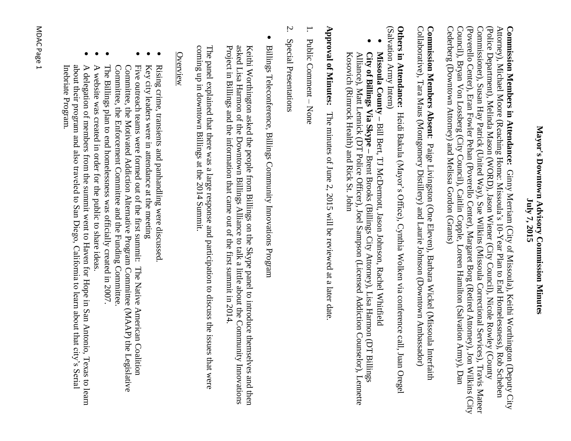#### Mayor's Downtown Advisory Commission Minutes **Mayor's Downtown Advisory Commission** July 7, 2015 **July 7, 2015**

Cederberg (Downtown Attorney) and Melissa Gordon (Grants) Council), Bryan Von Lossberg (City Council), Caitlin Copple, Loreen Hamilton (Salvation Army), Dan (Poverello Center), Eran Fowler Pehan (Poverello Center), Margaret Borg (Retired Attorney), Jon Wilkins (City Commissioner), Susan Hay Patrick (United Way), Sue Wilkins (Missoula Correctional Services), Travis Mateer (Police Department), Melinda Mason (WORD), Jason Wiener (City Council), Nicole Rowley (County Attorney), Michael Moore (Reaching Home: Missoula's 10-Year Plan to End Homelessness), Rob Scheben Commission Members in Attendance: Ginny Merriam (City of Missoula), Keithi Worthington (Deputy City Cederberg (Downtown Attorney) and Melissa Gordon (Grants) Council), Bryan Von Lossberg (City Council), Caitlin Copple, Loreen Hamilton (Salvation Army), Dan (Poverello Center), Eran Fowler Pehan (Poverello Center), Margaret Borg (Retired Attorney), Jon Wilkins (City Commissioner), Susan Hay Patrick (United Way), Sue Wilkins (Missoula Correctional Services), Travis Mateer (Police Department), Melinda Mason (WORD), Jason Wiener (City Council), Nicole Rowley (County Attorney), Michael Moore (Reaching Home: Missoula's 10-Year Plan to End Homelessness), Rob Scheben **Commission Members in Attendance:** Ginny Merriam (City of Missoula), Keithi Worthington (Deputy City

Collaborative), Tara Maus (Montgomery Distillery) and Laurie Johnson (Downtown Ambassador) Commission Members Absent: Paige Livingston (One Eleven), Barbara Wickel (Missoula Interfaith Collaborative), Tara Maus (Montgomery Distillery) and **Commission Members Absent** Paige Livingston (One Eleven), Barbara Wickel (Missoula Interfaith Laurie Johnson (Downtown Ambassador)

**Others in Attendance:** Heidi Bakula (Mayor's Office), Cynthia Wolken via conference call, Juan Oregel **Others in Attendance:** Heidi Bakula (Mayor's Office), Cynthia Wolken via conference call, Juan Oregel<br>(Salvation Army Intern) vation Army Intern)

- $\bullet$ Missoula County - Bill Bert, TJ McDermott, Jason Johnson, Rachel Whitfield **Missoula County –** Bill Bert, TJ McDermott, Jason Johnson, Rachel Whitfield
- $\bullet$ City of Billings Via Skype - Brent Brooks (Billings City Attorney), Lisa Harmon (DT Billings Alliance), Matt Lennick (DT Police Officer), Joel Sampson (Licensed Addiction Counselor), Lennette<br>Kosovich (Rimrock Health) and Rick St. John Alliance), Matt Lennick **City of Billings Via Skype –** (Rimrock Health) (DT Police Officer), Joel Sampson and Rick St. John Brent Brooks (Billings City Attorney), Lisa Harmon (Licensed Addiction Counselor), Lennette (DT Billings

**Approval of Minutes:** The minutes of June 2, 2015 will be reviewed at a later date **Approval of Minutes:**The minutes of June 2, 2015 will be reviewed at a later date.

- 1. Public Comment  $\perp$ None
- 2. Special Presentations Special Presentations
- $\bullet$ Billings Teleconference, Billings Community Innovations Program Billings Teleconference, Billings Community Innovations Program

Project in Billings and the information that came out of the first summit in 2014. asked Lisa Harmon of the Downtown Billings Alliance to talk a little about the Community Innovations Project in Billings and the information that came out of the first summit in 2014. asked Lisa Harmon of the Downtown Billings Alliance to talk a little about the Community Innovations Keithi Worthington asked the people from Billings on the Skype panel to introduce themselves and then Keithi Worthington asked the people from Billings on the Skype panel to introduce themselves and then

coming up in downtown Billings at the 2014 Summit. coming up in downtown Billings The panel explained that there was a large response and participation to discuss the issues that were explained that there was a large response and participation at the 2014 Summit. to discuss the issues that were

#### Overview

- $\bullet$ Rising crime, transients and panhandling were discussed Rising crime, transients and panhandling were discussed.
- $\bullet$ Key city leaders were in attendance at the meeting
- $\bullet$ Committee, the Enforcement Committee and the Funding Committee Committee, the Motivated Addiction Alternative Program Committee (MAAP) the Legislative Key city leaders were in attendance at the meeting<br>Five outreach teams were formed out of the first summit: The Native American Coalition Committee, the Committee, the Motivated Addiction Alternative Program Committee (MAAP) the Legislative Five outreach teams were formed out of the Enforcement Committee and the Funding Committee. summit: The Native American Coalition
- $\bullet$ The Billings plan to end homelessness was officially created in 2007. The Billings plan to end homelessness was officially created in 2007.
- $\bullet$ A website was created in order for the public to A website was created in order for the public to share ideas.
- $\bullet$ Inebriate Program. about their program and also traveled to San Diego, California to learn about that city's Serial A delegation of members from the summit went to Haven for Hope in San Antonio, Texas to learn Inebriate Program. about their program and also traveled to San Diego, California to learn about that city's Serial A delegation of members from the summit went to Haven for Hope in San Antonio, Texas to learn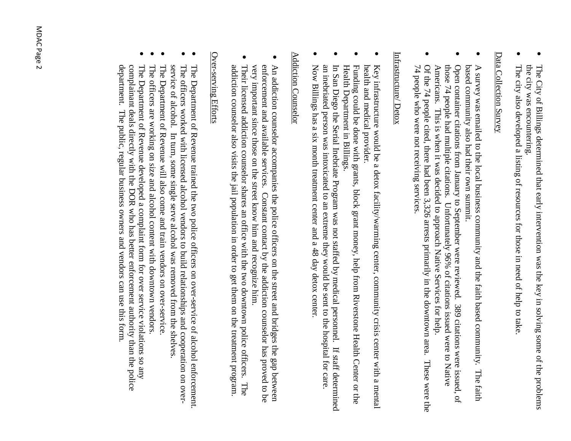- $\bullet$ the city was encountering. The City of Billings determined that early intervention was the key in solving some of the problems the city was encountering. The City of Billings determined that early intervention was the key in solving some of the problems
- $\bullet$ The city also developed a listing of resources for those in need of help to take The city also developed a listing of resources for those in need of help to take.

#### Data Collection Survey Data Collection Survey

- $\bullet$ based community also had their own summit. A survey was emailed to the local business community and the faith based community. The faith based community also had their own summit. A survey was emailed to the local business community and the faith based community. The faith
- $\bullet$ Open container citations from January to September were reviewed. 389 citations were issued, of container citations from January to September were reviewed. 389 citations were issued, of those 74 people had multiple citations. Unfortunately 96% of citations issued were to Native 74 people had multiple citations. Unfortunately 96% of citations issued were to Native Americans. This is when it was decided to approach Native Services
- $\bullet$ 74 people who were not receiving services. Of the 74 people cited, there had been 3,326 arrests primarily in the downtown area. These were the Americans. This is when it was decided to approach Native Services for help. 74 people who were not receiving services. Of the 74 people cited, there had been 3,326 arrests primarily in the downtown area. These were the

#### Infrastructure/Detox Infrastructure/ Detox

- $\bullet$ health and medical provider. health and medical provider. Key infrastructure would be a detox facility/warming center, community crisis center with a mental Key infrastructure would be a detox facility/warming center, community crisis center with a mental
- $\bullet$ Funding could be done with grants, block grant money, help from Riverstone Health Center or the Health Department Funding could be done with grants, block grant money, help from Riverstone Health Center or the<br>Health Department in Billings.
- $\bullet$ an inebriated person was intoxicated to an extreme they would be sent to the hospital for care In San Diego the Serial Inebriate Program was not staffed by medical personnel. If staff determined an inebriated person was intoxicated to an extreme they would be sent to the hospital for care. In San Diego the Serial Inebriate Program was not staffed by medical personnel. If staff determined
- $\bullet$ Now Billings has a six month treatment center and a 48 day detox center. Now Billings has a six month treatment center and a 48 day detox center.

#### **Addiction Counselor** Addiction Counselor

- $\bullet$ enforcement and available services. Constant contact by the addiction counselor has proved to be very important since those on the street know him and recognize him. An addiction counselor accompanies the police officers on the street and bridges the gap between very important since those on the street know him and recognize him. enforcement and available services. Constant contact by the addiction counselor has proved to be An addiction counselor accompanies the police officers on the street and bridges the gap between
- $\bullet$ Their licensed addiction counselor shares an office with the two downtown police officers. addiction counselor also visits the jail population in order to get them on the treatment program addiction counselor also visits Their licensed addiction counselor shares an office with the two downtown police officers. The the jail population in order to get them on the treatment program. The

#### Over-serving Efforts Over-serving Efforts

- $\bullet$ The Department of Revenue trained the two police officers on The Department of Revenue trained the two police officers on over-service of alcohol enforcement. of alcohol enforcement.
- $\bullet$ The officers worked with licensed alcohol vendors to build relationships and cooperation on over-The officers worked with licensed alcohol vendors to build relationships and cooperation on over-
- $\bullet$ service of alcohol. In turn, some single serve alcohol was removed from the shelves The Department of Revenue will also come and train vendors on over-service The Department of Revenue will also come and train vendors on over-service. service of alcohol. In turn, some single serve alcohol was removed from the shelves.
- $\bullet$ The officers are working on size and alcohol content with downtown vendors The officers are working on size and alcohol content with downtown vendors.
- $\bullet$ department. The public, regular business owners and vendors can use this form. department. The public, regular business owners complainant The Department of Revenue developed a complaint form for deals directly with the DOR who has better enforcement authority than the police and vendors can use this form.over service violations so any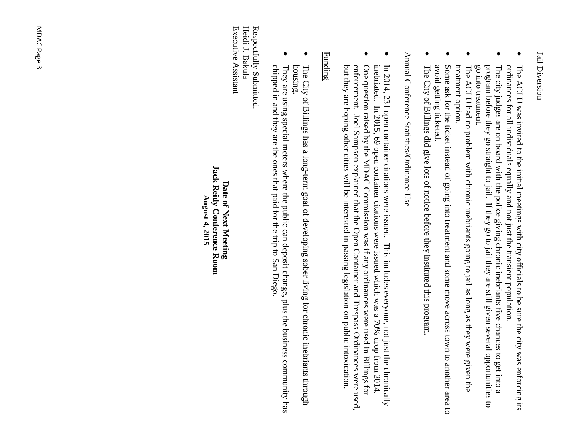#### **Jail Diversion** Jail Diversion

- $\bullet$ The ACLU was invited to the initial meetings with city officials to be sure the city was enforcing its ordinances for all individuals The ACLU was invited to the initial meetings with city officials to be sure the city was enforcing its ordinances for all individuals equally and not just the transient population. not just the transient population.
- $\bullet$ go into treatment. The city judges are on board with the police giving chronic inebriants five chances to get into a program before they go straight to jail. If they go to jail they are still given several opportunities to program before th go into treatment. The city judges are on board with the police giving chronic inebriants before they go straight to jail. If they go to jail they are still given several opportunities to five chances to get into a
- $\bullet$ The ACLU had no problem with chronic inebriants going to jail as long as they were given the treatment option.
- $\bullet$ avoid getting ticke Some ask for the ticket instead of going into treatment and some move across town to another area to Some ask for the ticket instead of going into treatment and some move across town to another area to avoid getting ticketed.
- $\bullet$ The City of Billings did give lots of notice before they instituted this program. The City of Billings did give lots of notice before they instituted this program.

### Annual Conference Statistics/Ordinance Use Annual Conference Statistics/Ordinance Use

- $\bullet$ inebriated. In 2015, 69 open container citations were issued which was a 70% drop from 2014. In 2014, 231 open container citations were issued. This includes everyone, not just the chronically inebriated. In 2015, 6 In 2014, 231 open container citations were issued. This includes everyone, not just the chronically 9 open container citations were issued which was a 70% drop from 2014.
- $\bullet$ but they are hoping other cities will be interested in passing legislation on public intoxication. enforcement. Joel Sampson explained that the Open Container and Trespass Ordinances were used, One question raised by the MDAC Commission was if any ordinances were used in Billings for enforcement. Joel Sampson explained that the Open Container and Trespass Ordinances were used One question raised by the MDAC Commission was if any ordinances were used in Billings for they are hoping other cities will be interested in passing legislation on public intoxication.

#### Funding

- $\bullet$ The City of Billings has a long-term goal of developing sober living for chronic inebriants through The City of Billings has a long-term goal of developing sober living for chronic inebriants through<br>housing.
- $\bullet$ chipped in and they are the ones that paid for the trip to San Diego They are using special meters where the public can deposit change, plus the business community has chipped in and they are the ones that paid for the trip to San Diego. They are using special meters where the public can deposit change, plus the business community has

Respectfully Submitted Executive Assistant Executive Assistant Heidi J. Bakula Heidi J. Bakula Respectfully Submitted,

#### **Jack Reidy Conference Room Jack Reidy Conference Room** Date of Next Meeting **Date of Next Meeting** August 4, 2015 **August 4, 2015**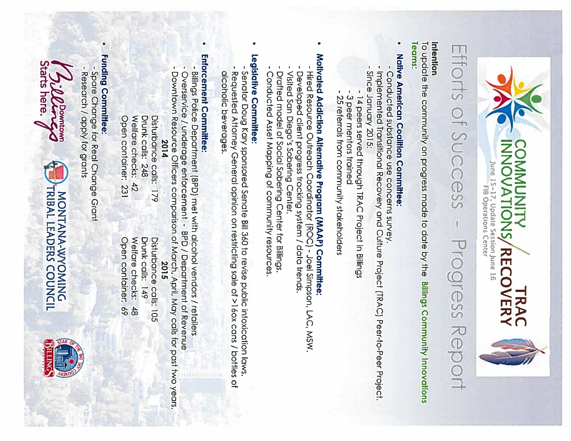



# Efforts of Success **Progress Report**

#### Intention

Teams: To update the community on progress made to date by the **Billings Community Innovations** 

## Native American Coalition Committee:

- Conducted substance use concerns survey.
- implemented Transitional Recovery and Culture Project (TRAC) Peer-to-Peer Project. Since January 2015:
- -14 peers served through TRAC Project in Billings
- -3 peer mentors trained
- 25 referrals from community stakeholders

# Motivated Addiction Alternative Program (MAAP) Committee

- -Hired Resource Outreach Coordinator (ROC) Joel Simpson, LAC, MSW.
- Developed client progress tracking system / data trends.
- Visited San Diego's Sobering Center.
- Drafted model of Social Sobering Center for Billings. Conducted Asset Mapping of community resources

## Legislative Committee:

- Senator Doug Kary sponsored Senate Bill 360 to revise public intoxication laws.
- Requested Attorney General opinion on restricting sale of >16ox cans / bottles of alcoholic beverages.
- 

## Enforcement Committee:

 $\bullet$ 

- Billings Police Department (BPD) met with alcohol vendors / retailers
- Overservice / underage enforcement BPD / Department of Revenue
- Downtown Resource Officers comparison of March, April, May calls for past two years.
- 2014

Disturbance calls: 179 Welfare checks: 42 Drunk calls: 248 Open container: 231

## Funding Committee:

 $\bullet$ 

-Spare Change for Real Change Grant

Research / apply for grants

1 5:00 Downtown<br>Starts here.

Open container: 69 Welfare checks: Drunk calls: 149 Disturbance calls: 105 2015  $\frac{4}{8}$ 

MONTANA-WYOMING<br>TRIBAL LEADERS COUNCIL